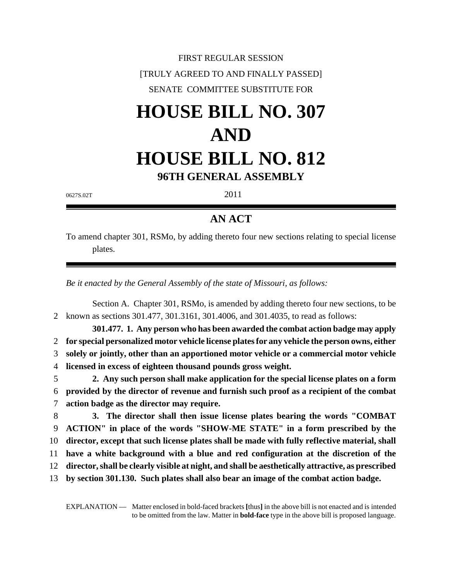FIRST REGULAR SESSION [TRULY AGREED TO AND FINALLY PASSED] SENATE COMMITTEE SUBSTITUTE FOR

# **HOUSE BILL NO. 307 AND HOUSE BILL NO. 812**

**96TH GENERAL ASSEMBLY**

 $0627$ S.02T 2011

## **AN ACT**

To amend chapter 301, RSMo, by adding thereto four new sections relating to special license plates.

*Be it enacted by the General Assembly of the state of Missouri, as follows:*

Section A. Chapter 301, RSMo, is amended by adding thereto four new sections, to be 2 known as sections 301.477, 301.3161, 301.4006, and 301.4035, to read as follows:

**301.477. 1. Any person who has been awarded the combat action badge may apply for special personalized motor vehicle license plates for any vehicle the person owns, either solely or jointly, other than an apportioned motor vehicle or a commercial motor vehicle licensed in excess of eighteen thousand pounds gross weight.**

5 **2. Any such person shall make application for the special license plates on a form** 6 **provided by the director of revenue and furnish such proof as a recipient of the combat** 7 **action badge as the director may require.**

 **3. The director shall then issue license plates bearing the words "COMBAT ACTION" in place of the words "SHOW-ME STATE" in a form prescribed by the director, except that such license plates shall be made with fully reflective material, shall have a white background with a blue and red configuration at the discretion of the director, shall be clearly visible at night, and shall be aesthetically attractive, as prescribed by section 301.130. Such plates shall also bear an image of the combat action badge.**

EXPLANATION — Matter enclosed in bold-faced brackets **[**thus**]** in the above bill is not enacted and is intended to be omitted from the law. Matter in **bold-face** type in the above bill is proposed language.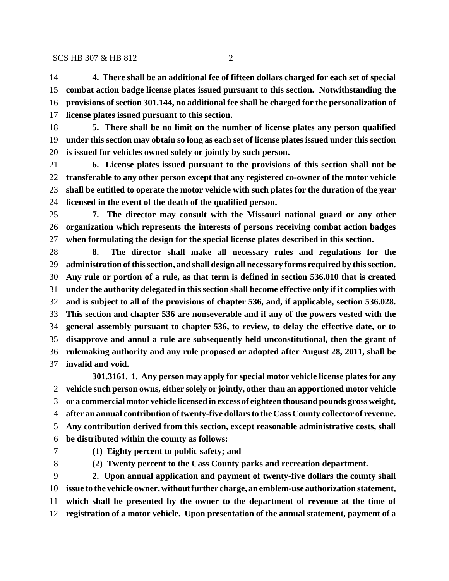### SCS HB 307 & HB 812 2

 **4. There shall be an additional fee of fifteen dollars charged for each set of special combat action badge license plates issued pursuant to this section. Notwithstanding the provisions of section 301.144, no additional fee shall be charged for the personalization of license plates issued pursuant to this section.**

 **5. There shall be no limit on the number of license plates any person qualified under this section may obtain so long as each set of license plates issued under this section is issued for vehicles owned solely or jointly by such person.**

 **6. License plates issued pursuant to the provisions of this section shall not be transferable to any other person except that any registered co-owner of the motor vehicle shall be entitled to operate the motor vehicle with such plates for the duration of the year licensed in the event of the death of the qualified person.**

 **7. The director may consult with the Missouri national guard or any other organization which represents the interests of persons receiving combat action badges when formulating the design for the special license plates described in this section.**

 **8. The director shall make all necessary rules and regulations for the administration of this section, and shall design all necessary forms required by this section. Any rule or portion of a rule, as that term is defined in section 536.010 that is created under the authority delegated in this section shall become effective only if it complies with and is subject to all of the provisions of chapter 536, and, if applicable, section 536.028. This section and chapter 536 are nonseverable and if any of the powers vested with the general assembly pursuant to chapter 536, to review, to delay the effective date, or to disapprove and annul a rule are subsequently held unconstitutional, then the grant of rulemaking authority and any rule proposed or adopted after August 28, 2011, shall be invalid and void.**

**301.3161. 1. Any person may apply for special motor vehicle license plates for any vehicle such person owns, either solely or jointly, other than an apportioned motor vehicle or a commercial motor vehicle licensed in excess of eighteen thousand pounds gross weight, after an annual contribution of twenty-five dollars to the Cass County collector of revenue. Any contribution derived from this section, except reasonable administrative costs, shall be distributed within the county as follows:**

**(1) Eighty percent to public safety; and**

**(2) Twenty percent to the Cass County parks and recreation department.**

 **2. Upon annual application and payment of twenty-five dollars the county shall issue to the vehicle owner, without further charge, an emblem-use authorization statement, which shall be presented by the owner to the department of revenue at the time of registration of a motor vehicle. Upon presentation of the annual statement, payment of a**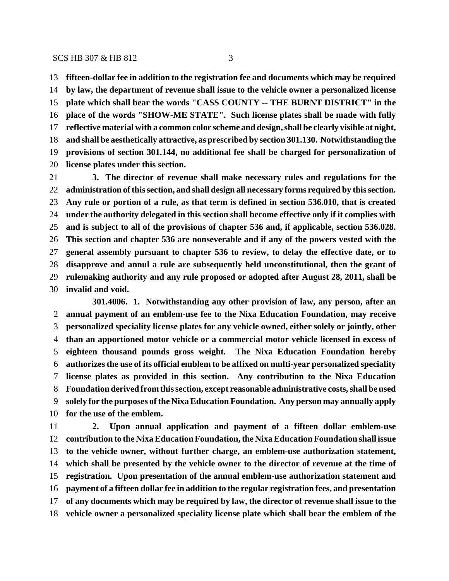### SCS HB 307 & HB 812 3

 **fifteen-dollar fee in addition to the registration fee and documents which may be required by law, the department of revenue shall issue to the vehicle owner a personalized license plate which shall bear the words "CASS COUNTY -- THE BURNT DISTRICT" in the place of the words "SHOW-ME STATE". Such license plates shall be made with fully reflective material with a common color scheme and design, shall be clearly visible at night, and shall be aesthetically attractive, as prescribed by section 301.130. Notwithstanding the provisions of section 301.144, no additional fee shall be charged for personalization of license plates under this section.**

 **3. The director of revenue shall make necessary rules and regulations for the administration of this section, and shall design all necessary forms required by this section. Any rule or portion of a rule, as that term is defined in section 536.010, that is created under the authority delegated in this section shall become effective only if it complies with and is subject to all of the provisions of chapter 536 and, if applicable, section 536.028. This section and chapter 536 are nonseverable and if any of the powers vested with the general assembly pursuant to chapter 536 to review, to delay the effective date, or to disapprove and annul a rule are subsequently held unconstitutional, then the grant of rulemaking authority and any rule proposed or adopted after August 28, 2011, shall be invalid and void.**

**301.4006. 1. Notwithstanding any other provision of law, any person, after an annual payment of an emblem-use fee to the Nixa Education Foundation, may receive personalized speciality license plates for any vehicle owned, either solely or jointly, other than an apportioned motor vehicle or a commercial motor vehicle licensed in excess of eighteen thousand pounds gross weight. The Nixa Education Foundation hereby authorizes the use of its official emblem to be affixed on multi-year personalized speciality license plates as provided in this section. Any contribution to the Nixa Education Foundation derived from this section, except reasonable administrative costs, shall be used solely for the purposes of the Nixa Education Foundation. Any person may annually apply for the use of the emblem.**

 **2. Upon annual application and payment of a fifteen dollar emblem-use contribution to the Nixa Education Foundation, the Nixa Education Foundation shall issue to the vehicle owner, without further charge, an emblem-use authorization statement, which shall be presented by the vehicle owner to the director of revenue at the time of registration. Upon presentation of the annual emblem-use authorization statement and payment of a fifteen dollar fee in addition to the regular registration fees, and presentation of any documents which may be required by law, the director of revenue shall issue to the vehicle owner a personalized speciality license plate which shall bear the emblem of the**